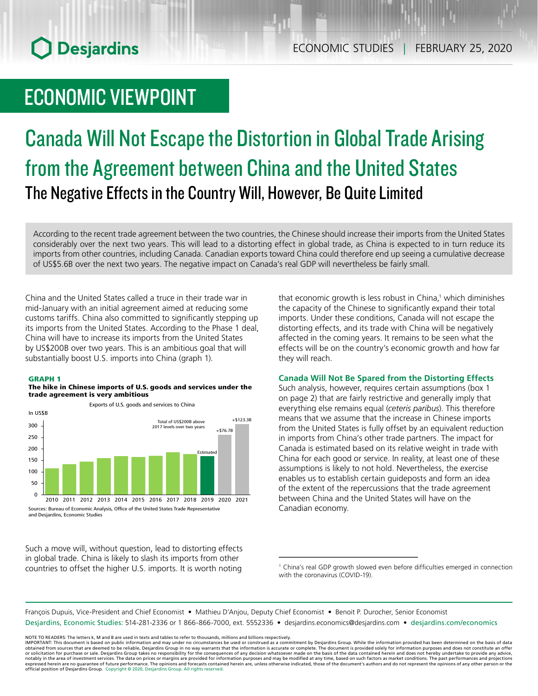# **O** Desjardins

### ECONOMIC VIEWPOINT

# Canada Will Not Escape the Distortion in Global Trade Arising from the Agreement between China and the United States The Negative Effects in the Country Will, However, Be Quite Limited

According to the recent trade agreement between the two countries, the Chinese should increase their imports from the United States considerably over the next two years. This will lead to a distorting effect in global trade, as China is expected to in turn reduce its imports from other countries, including Canada. Canadian exports toward China could therefore end up seeing a cumulative decrease of US\$5.6B over the next two years. The negative impact on Canada's real GDP will nevertheless be fairly small.

China and the United States called a truce in their trade war in mid-January with an initial agreement aimed at reducing some customs tariffs. China also committed to significantly stepping up its imports from the United States. According to the Phase 1 deal, China will have to increase its imports from the United States by US\$200B over two years. This is an ambitious goal that will substantially boost U.S. imports into China (graph 1).

#### GRAPH 1

#### The hike in Chinese imports of U.S. goods and services under the trade agreement is very ambitious

Exports of U.S. goods and services to China



Such a move will, without question, lead to distorting effects in global trade. China is likely to slash its imports from other countries to offset the higher U.S. imports. It is worth noting

that economic growth is less robust in China,<sup>1</sup> which diminishes the capacity of the Chinese to significantly expand their total imports. Under these conditions, Canada will not escape the distorting effects, and its trade with China will be negatively affected in the coming years. It remains to be seen what the effects will be on the country's economic growth and how far they will reach.

#### **Canada Will Not Be Spared from the Distorting Effects**

Such analysis, however, requires certain assumptions (box 1 on page 2) that are fairly restrictive and generally imply that everything else remains equal (*ceteris paribus*). This therefore means that we assume that the increase in Chinese imports from the United States is fully offset by an equivalent reduction in imports from China's other trade partners. The impact for Canada is estimated based on its relative weight in trade with China for each good or service. In reality, at least one of these assumptions is likely to not hold. Nevertheless, the exercise enables us to establish certain guideposts and form an idea of the extent of the repercussions that the trade agreement between China and the United States will have on the Canadian economy.

François Dupuis, Vice-President and Chief Economist • Mathieu D'Anjou, Deputy Chief Economist • Benoit P. Durocher, Senior Economist Desjardins, Economic Studies: 514-281-2336 or 1 866-866-7000, ext. 5552336 • desjardins.economics@desjardins.com • [desjardins.com/economics](http://desjardins.com/economics)

NOTE TO READERS: The letters k, M and B are used in texts and tables to refer to thousands, millions and billions respectively.<br>IMPORTANT: This document is based on public information and may under no circumstances be used obtained from sources that are deemed to be reliable, Desjardins Group in no way warrants that the information is accurate or complete. The document is provided solely for information purposes and does not constitute an of expressed herein are no guarantee of future performance. The opinions and forecasts contained herein are, unless otherwise indicated, those of the document's authors and do not represent the opinions of any other person or official position of Desjardins Group. Copyright © 2020, Desjardins Group. All rights reserved.

<sup>&</sup>lt;sup>1</sup> China's real GDP growth slowed even before difficulties emerged in connection with the coronavirus (COVID-19).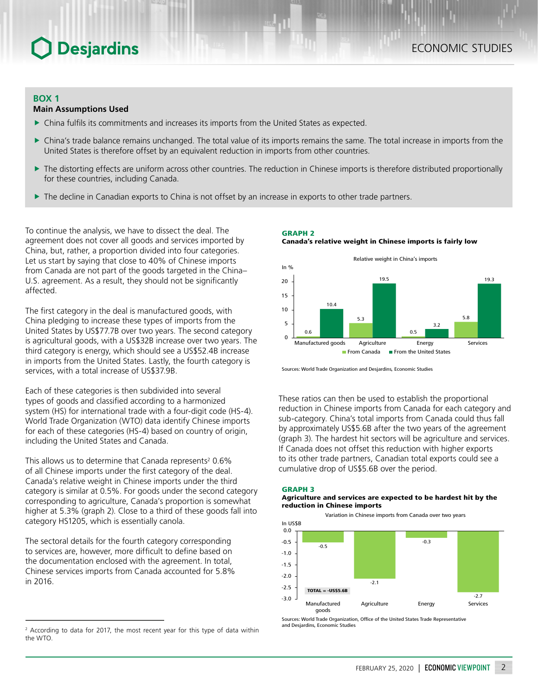### **Desjardins**

#### **BOX 1**

#### **Main Assumptions Used**

- $\triangleright$  China fulfils its commitments and increases its imports from the United States as expected.
- China's trade balance remains unchanged. The total value of its imports remains the same. The total increase in imports from the United States is therefore offset by an equivalent reduction in imports from other countries.
- $\triangleright$  The distorting effects are uniform across other countries. The reduction in Chinese imports is therefore distributed proportionally for these countries, including Canada.
- $\blacktriangleright$  The decline in Canadian exports to China is not offset by an increase in exports to other trade partners.

To continue the analysis, we have to dissect the deal. The agreement does not cover all goods and services imported by China, but, rather, a proportion divided into four categories. Let us start by saying that close to 40% of Chinese imports from Canada are not part of the goods targeted in the China– U.S. agreement. As a result, they should not be significantly affected.

The first category in the deal is manufactured goods, with China pledging to increase these types of imports from the United States by US\$77.7B over two years. The second category is agricultural goods, with a US\$32B increase over two years. The third category is energy, which should see a US\$52.4B increase in imports from the United States. Lastly, the fourth category is services, with a total increase of US\$37.9B.

Each of these categories is then subdivided into several types of goods and classified according to a harmonized system (HS) for international trade with a four-digit code (HS-4). World Trade Organization (WTO) data identify Chinese imports for each of these categories (HS-4) based on country of origin, including the United States and Canada.

This allows us to determine that Canada represents<sup>2</sup> 0.6% of all Chinese imports under the first category of the deal. Canada's relative weight in Chinese imports under the third category is similar at 0.5%. For goods under the second category corresponding to agriculture, Canada's proportion is somewhat higher at 5.3% (graph 2). Close to a third of these goods fall into category HS1205, which is essentially canola.

The sectoral details for the fourth category corresponding to services are, however, more difficult to define based on the documentation enclosed with the agreement. In total, Chinese services imports from Canada accounted for 5.8% in 2016.

GRAPH 2 Canada's relative weight in Chinese imports is fairly low



Sources: World Trade Organization and Desjardins, Economic Studies

These ratios can then be used to establish the proportional reduction in Chinese imports from Canada for each category and sub-category. China's total imports from Canada could thus fall by approximately US\$5.6B after the two years of the agreement (graph 3). The hardest hit sectors will be agriculture and services. If Canada does not offset this reduction with higher exports to its other trade partners, Canadian total exports could see a cumulative drop of US\$5.6B over the period.

#### GRAPH 3

#### Agriculture and services are expected to be hardest hit by the reduction in Chinese imports



Sources: World Trade Organization, Office of the United States Trade Representative and Desjardins, Economic Studies

<sup>&</sup>lt;sup>2</sup> According to data for 2017, the most recent year for this type of data within the WTO.